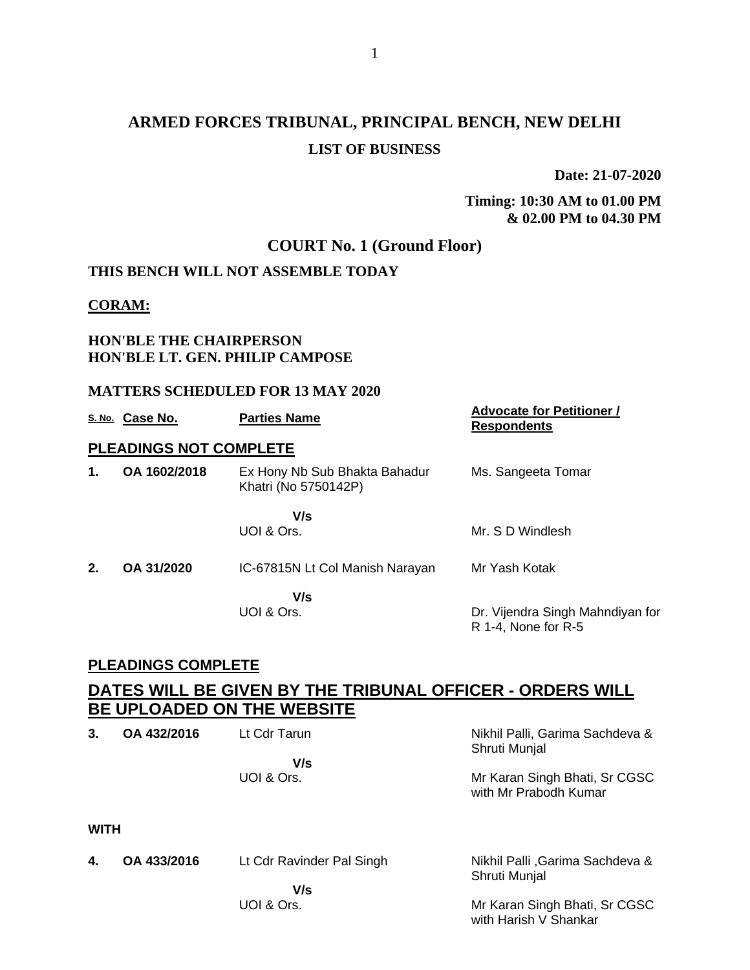## **ARMED FORCES TRIBUNAL, PRINCIPAL BENCH, NEW DELHI LIST OF BUSINESS**

**Date: 21-07-2020**

**Timing: 10:30 AM to 01.00 PM & 02.00 PM to 04.30 PM**

## **COURT No. 1 (Ground Floor)**

### **THIS BENCH WILL NOT ASSEMBLE TODAY**

#### **CORAM:**

#### **HON'BLE THE CHAIRPERSON HON'BLE LT. GEN. PHILIP CAMPOSE**

#### **MATTERS SCHEDULED FOR 13 MAY 2020**

|               | S. No. Case No.               | <b>Parties Name</b>                                   | <b>Advocate for Petitioner /</b><br><b>Respondents</b>  |
|---------------|-------------------------------|-------------------------------------------------------|---------------------------------------------------------|
|               | <b>PLEADINGS NOT COMPLETE</b> |                                                       |                                                         |
| $\mathbf 1$ . | OA 1602/2018                  | Ex Hony Nb Sub Bhakta Bahadur<br>Khatri (No 5750142P) | Ms. Sangeeta Tomar                                      |
|               |                               | V/s<br>UOI & Ors.                                     | Mr. S D Windlesh                                        |
| 2.            | OA 31/2020                    | IC-67815N Lt Col Manish Narayan                       | Mr Yash Kotak                                           |
|               |                               | V/s<br>UOI & Ors.                                     | Dr. Vijendra Singh Mahndiyan for<br>R 1-4, None for R-5 |

#### **PLEADINGS COMPLETE**

| 3.          | OA 432/2016 | Lt Cdr Tarun              | Nikhil Palli, Garima Sachdeva &<br>Shruti Munjal       |
|-------------|-------------|---------------------------|--------------------------------------------------------|
|             |             | V/s                       |                                                        |
|             |             | UOI & Ors.                | Mr Karan Singh Bhati, Sr CGSC<br>with Mr Prabodh Kumar |
| <b>WITH</b> |             |                           |                                                        |
| 4.          | OA 433/2016 | Lt Cdr Ravinder Pal Singh | Nikhil Palli, Garima Sachdeva &<br>Shruti Munjal       |
|             |             | V/s                       |                                                        |
|             |             | UOI & Ors.                | Mr Karan Singh Bhati, Sr CGSC<br>with Harish V Shankar |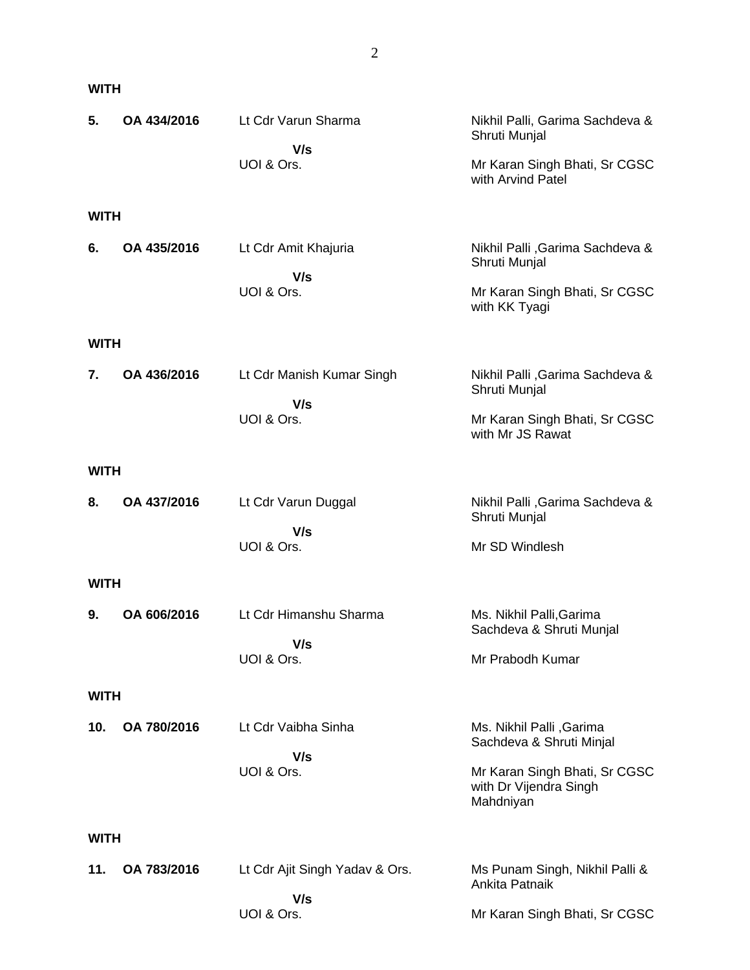#### **WITH**

| 5.          | OA 434/2016 | Lt Cdr Varun Sharma                   | Nikhil Palli, Garima Sachdeva &<br>Shruti Munjal                     |
|-------------|-------------|---------------------------------------|----------------------------------------------------------------------|
|             |             | V/s<br>UOI & Ors.                     | Mr Karan Singh Bhati, Sr CGSC<br>with Arvind Patel                   |
| <b>WITH</b> |             |                                       |                                                                      |
| 6.          | OA 435/2016 | Lt Cdr Amit Khajuria<br>V/s           | Nikhil Palli, Garima Sachdeva &<br>Shruti Munjal                     |
|             |             | UOI & Ors.                            | Mr Karan Singh Bhati, Sr CGSC<br>with KK Tyagi                       |
| <b>WITH</b> |             |                                       |                                                                      |
| 7.          | OA 436/2016 | Lt Cdr Manish Kumar Singh<br>V/s      | Nikhil Palli, Garima Sachdeva &<br>Shruti Munjal                     |
|             |             | UOI & Ors.                            | Mr Karan Singh Bhati, Sr CGSC<br>with Mr JS Rawat                    |
| <b>WITH</b> |             |                                       |                                                                      |
| 8.          | OA 437/2016 | Lt Cdr Varun Duggal<br>V/s            | Nikhil Palli, Garima Sachdeva &<br>Shruti Munjal                     |
|             |             | UOI & Ors.                            | Mr SD Windlesh                                                       |
| <b>WITH</b> |             |                                       |                                                                      |
| 9.          | OA 606/2016 | Lt Cdr Himanshu Sharma<br>V/s         | Ms. Nikhil Palli, Garima<br>Sachdeva & Shruti Munjal                 |
|             |             | UOI & Ors.                            | Mr Prabodh Kumar                                                     |
| <b>WITH</b> |             |                                       |                                                                      |
| 10.         | OA 780/2016 | Lt Cdr Vaibha Sinha                   | Ms. Nikhil Palli , Garima<br>Sachdeva & Shruti Minjal                |
|             |             | V/s<br>UOI & Ors.                     | Mr Karan Singh Bhati, Sr CGSC<br>with Dr Vijendra Singh<br>Mahdniyan |
| <b>WITH</b> |             |                                       |                                                                      |
| 11.         | OA 783/2016 | Lt Cdr Ajit Singh Yadav & Ors.<br>V/s | Ms Punam Singh, Nikhil Palli &<br>Ankita Patnaik                     |
|             |             | UOI & Ors.                            | Mr Karan Singh Bhati, Sr CGSC                                        |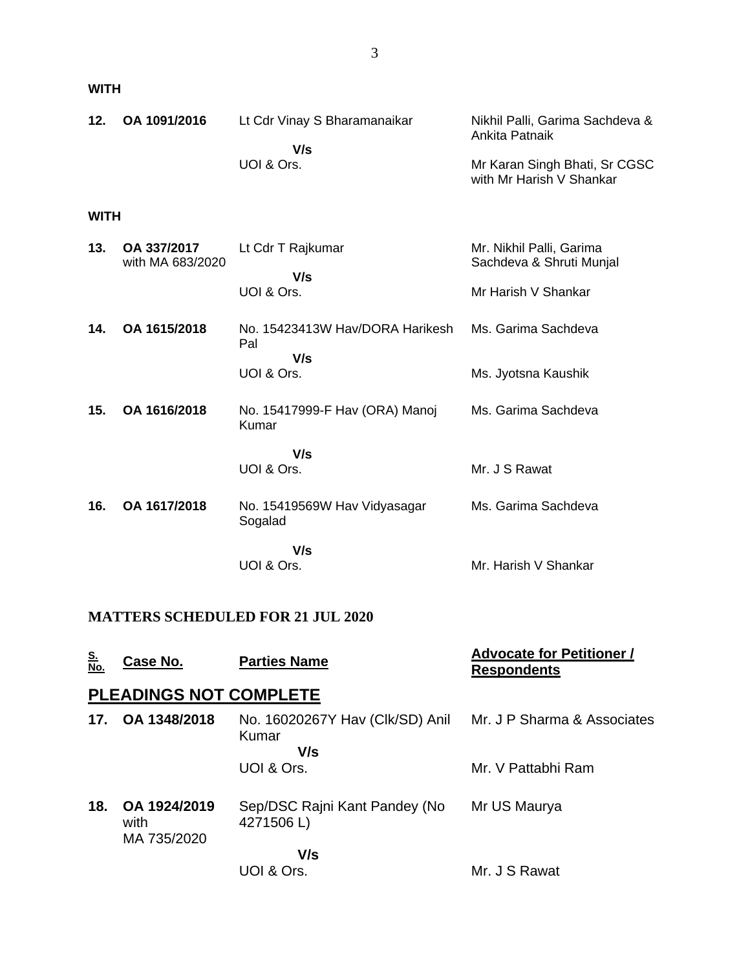**WITH**

| 12. | OA 1091/2016 | Lt Cdr Vinay S Bharamanaikar | Nikhil Palli, Garima Sachdeva &<br>Ankita Patnaik         |
|-----|--------------|------------------------------|-----------------------------------------------------------|
|     |              | V/s                          |                                                           |
|     |              | UOI & Ors.                   | Mr Karan Singh Bhati, Sr CGSC<br>with Mr Harish V Shankar |

#### **WITH**

| 13. | OA 337/2017<br>with MA 683/2020 | Lt Cdr T Rajkumar                       | Mr. Nikhil Palli, Garima<br>Sachdeva & Shruti Munjal |
|-----|---------------------------------|-----------------------------------------|------------------------------------------------------|
|     |                                 | V/s<br>UOI & Ors.                       | Mr Harish V Shankar                                  |
| 14. | OA 1615/2018                    | No. 15423413W Hav/DORA Harikesh<br>Pal  | Ms. Garima Sachdeva                                  |
|     |                                 | V/s<br>UOI & Ors.                       | Ms. Jyotsna Kaushik                                  |
| 15. | OA 1616/2018                    | No. 15417999-F Hav (ORA) Manoj<br>Kumar | Ms. Garima Sachdeva                                  |
|     |                                 | V/s<br>UOI & Ors.                       | Mr. J S Rawat                                        |
| 16. | OA 1617/2018                    | No. 15419569W Hav Vidyasagar<br>Sogalad | Ms. Garima Sachdeva                                  |
|     |                                 | V/s<br>UOI & Ors.                       | Mr. Harish V Shankar                                 |

## **MATTERS SCHEDULED FOR 21 JUL 2020**

| <u>S.</u><br>No. | Case No.                            | <b>Parties Name</b>                             | <b>Advocate for Petitioner /</b><br><b>Respondents</b> |
|------------------|-------------------------------------|-------------------------------------------------|--------------------------------------------------------|
|                  | <b>PLEADINGS NOT COMPLETE</b>       |                                                 |                                                        |
| 17.              | OA 1348/2018                        | No. 16020267Y Hav (Clk/SD) Anil<br>Kumar<br>V/s | Mr. J P Sharma & Associates                            |
|                  |                                     | UOI & Ors.                                      | Mr. V Pattabhi Ram                                     |
| 18.              | OA 1924/2019<br>with<br>MA 735/2020 | Sep/DSC Rajni Kant Pandey (No<br>4271506L)      | Mr US Maurya                                           |
|                  |                                     | V/s<br>UOI & Ors.                               | Mr. J S Rawat                                          |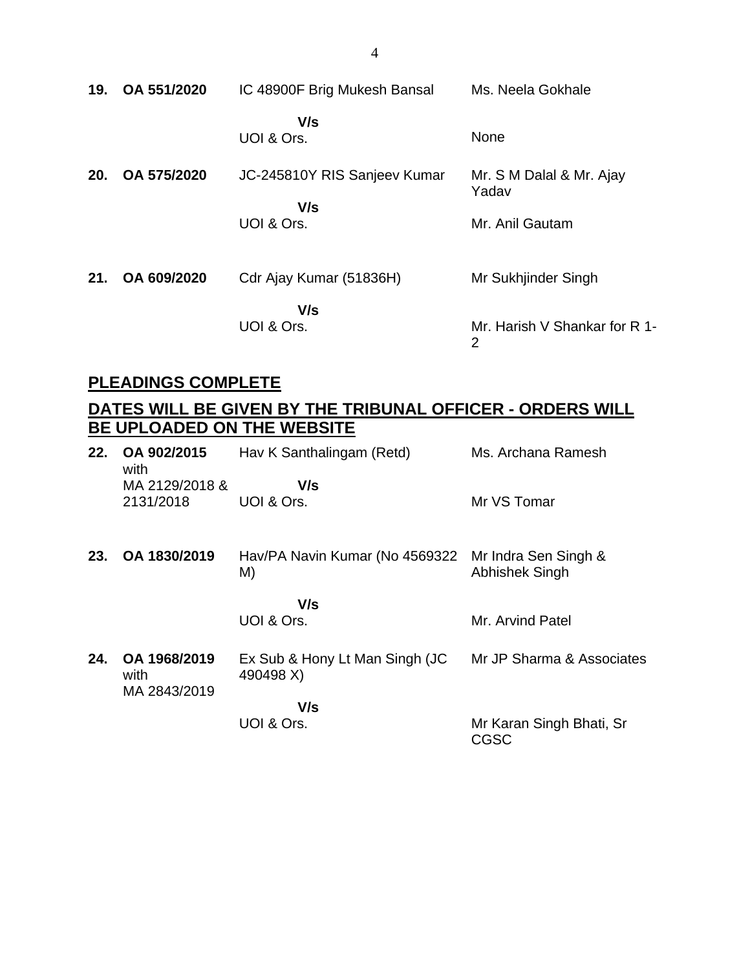| 19. | OA 551/2020 | IC 48900F Brig Mukesh Bansal        | Ms. Neela Gokhale                               |
|-----|-------------|-------------------------------------|-------------------------------------------------|
|     |             | V/s<br>UOI & Ors.                   | None                                            |
| 20. | OA 575/2020 | JC-245810Y RIS Sanjeev Kumar<br>V/s | Mr. S M Dalal & Mr. Ajay<br>Yadav               |
|     |             | UOI & Ors.                          | Mr. Anil Gautam                                 |
| 21. | OA 609/2020 | Cdr Ajay Kumar (51836H)             | Mr Sukhjinder Singh                             |
|     |             | V/s<br>UOI & Ors.                   | Mr. Harish V Shankar for R 1-<br>$\overline{2}$ |

## **PLEADINGS COMPLETE**

| 22. | OA 902/2015<br>with                  | Hav K Santhalingam (Retd)                   | Ms. Archana Ramesh                     |
|-----|--------------------------------------|---------------------------------------------|----------------------------------------|
|     | MA 2129/2018 &                       | V/s                                         |                                        |
|     | 2131/2018                            | UOI & Ors.                                  | Mr VS Tomar                            |
| 23. | OA 1830/2019                         | Hav/PA Navin Kumar (No 4569322<br>M)        | Mr Indra Sen Singh &<br>Abhishek Singh |
|     |                                      |                                             |                                        |
|     |                                      | V/s                                         |                                        |
|     |                                      | UOI & Ors.                                  | Mr. Arvind Patel                       |
| 24. | OA 1968/2019<br>with<br>MA 2843/2019 | Ex Sub & Hony Lt Man Singh (JC<br>490498 X) | Mr JP Sharma & Associates              |
|     |                                      | V/s                                         |                                        |
|     |                                      | UOI & Ors.                                  | Mr Karan Singh Bhati, Sr<br>CGSC       |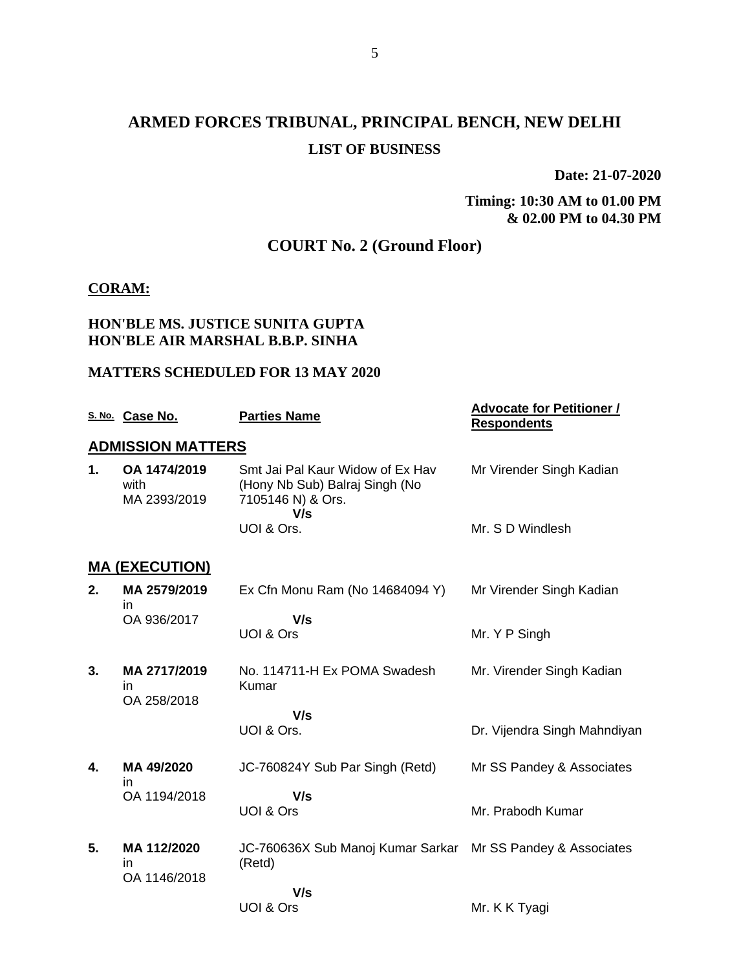## **ARMED FORCES TRIBUNAL, PRINCIPAL BENCH, NEW DELHI LIST OF BUSINESS**

**Date: 21-07-2020**

**Timing: 10:30 AM to 01.00 PM & 02.00 PM to 04.30 PM**

## **COURT No. 2 (Ground Floor)**

#### **CORAM:**

### **HON'BLE MS. JUSTICE SUNITA GUPTA HON'BLE AIR MARSHAL B.B.P. SINHA**

#### **MATTERS SCHEDULED FOR 13 MAY 2020**

|    | S. No. Case No.                      | <b>Parties Name</b>                                                                            | <b>Advocate for Petitioner /</b><br><b>Respondents</b> |
|----|--------------------------------------|------------------------------------------------------------------------------------------------|--------------------------------------------------------|
|    | <b>ADMISSION MATTERS</b>             |                                                                                                |                                                        |
| 1. | OA 1474/2019<br>with<br>MA 2393/2019 | Smt Jai Pal Kaur Widow of Ex Hav<br>(Hony Nb Sub) Balraj Singh (No<br>7105146 N) & Ors.<br>V/s | Mr Virender Singh Kadian                               |
|    |                                      | UOI & Ors.                                                                                     | Mr. S D Windlesh                                       |
|    | <b>MA (EXECUTION)</b>                |                                                                                                |                                                        |
| 2. | MA 2579/2019<br>ın                   | Ex Cfn Monu Ram (No 14684094 Y)                                                                | Mr Virender Singh Kadian                               |
|    | OA 936/2017                          | V/s<br>UOI & Ors                                                                               | Mr. Y P Singh                                          |
| 3. | MA 2717/2019<br>in.<br>OA 258/2018   | No. 114711-H Ex POMA Swadesh<br>Kumar                                                          | Mr. Virender Singh Kadian                              |
|    |                                      | V/s<br>UOI & Ors.                                                                              | Dr. Vijendra Singh Mahndiyan                           |
| 4. | MA 49/2020<br>in                     | JC-760824Y Sub Par Singh (Retd)                                                                | Mr SS Pandey & Associates                              |
|    | OA 1194/2018                         | V/s<br>UOI & Ors                                                                               | Mr. Prabodh Kumar                                      |
| 5. | MA 112/2020<br>ın<br>OA 1146/2018    | JC-760636X Sub Manoj Kumar Sarkar<br>(Retd)                                                    | Mr SS Pandey & Associates                              |
|    |                                      | V/s                                                                                            |                                                        |
|    |                                      | UOI & Ors                                                                                      | Mr. K K Tyagi                                          |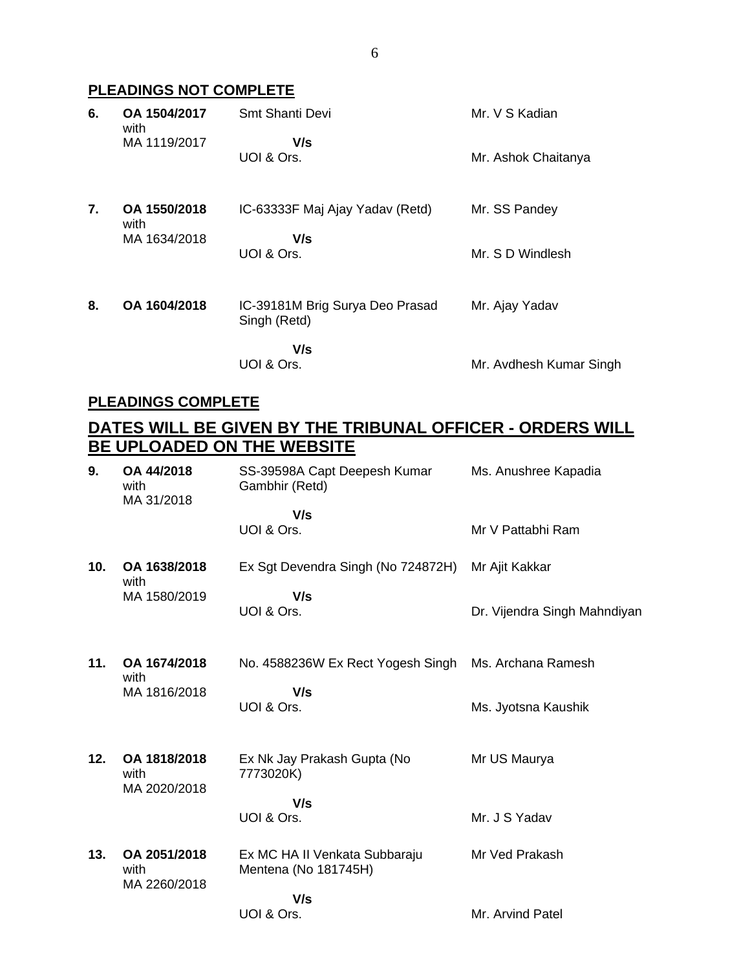## **PLEADINGS NOT COMPLETE**

| 6. | OA 1504/2017<br>with | Smt Shanti Devi                                 | Mr. V S Kadian          |
|----|----------------------|-------------------------------------------------|-------------------------|
|    | MA 1119/2017         | V/s<br>UOI & Ors.                               | Mr. Ashok Chaitanya     |
| 7. | OA 1550/2018<br>with | IC-63333F Maj Ajay Yadav (Retd)                 | Mr. SS Pandey           |
|    | MA 1634/2018         | V/s<br>UOI & Ors.                               | Mr. S D Windlesh        |
| 8. | OA 1604/2018         | IC-39181M Brig Surya Deo Prasad<br>Singh (Retd) | Mr. Ajay Yadav          |
|    |                      | V/s<br>UOI & Ors.                               | Mr. Avdhesh Kumar Singh |

#### **PLEADINGS COMPLETE**

| 9.  | OA 44/2018<br>with<br>MA 31/2018     | SS-39598A Capt Deepesh Kumar<br>Gambhir (Retd)        | Ms. Anushree Kapadia         |
|-----|--------------------------------------|-------------------------------------------------------|------------------------------|
|     |                                      | V/s<br>UOI & Ors.                                     | Mr V Pattabhi Ram            |
| 10. | OA 1638/2018<br>with                 | Ex Sgt Devendra Singh (No 724872H)                    | Mr Ajit Kakkar               |
|     | MA 1580/2019                         | V/s<br>UOI & Ors.                                     | Dr. Vijendra Singh Mahndiyan |
| 11. | OA 1674/2018<br>with                 | No. 4588236W Ex Rect Yogesh Singh                     | Ms. Archana Ramesh           |
|     | MA 1816/2018                         | V/s<br>UOI & Ors.                                     | Ms. Jyotsna Kaushik          |
| 12. | OA 1818/2018<br>with<br>MA 2020/2018 | Ex Nk Jay Prakash Gupta (No<br>7773020K)              | Mr US Maurya                 |
|     |                                      | V/s<br>UOI & Ors.                                     | Mr. J S Yadav                |
| 13. | OA 2051/2018<br>with<br>MA 2260/2018 | Ex MC HA II Venkata Subbaraju<br>Mentena (No 181745H) | Mr Ved Prakash               |
|     |                                      | V/s<br>UOI & Ors.                                     | Mr. Arvind Patel             |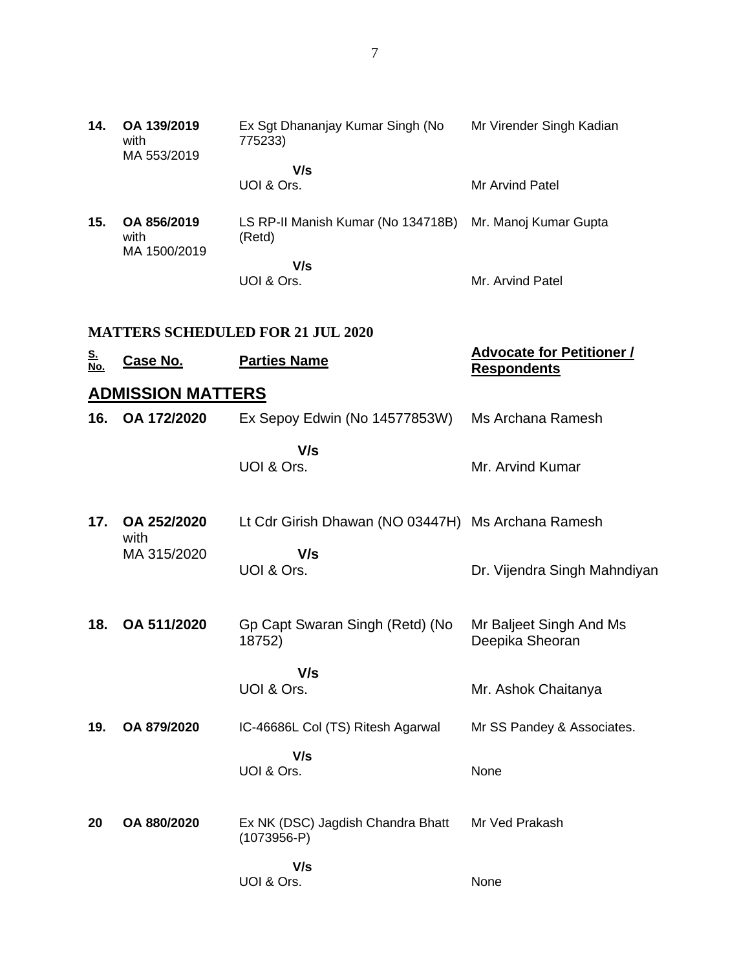| 14. | OA 139/2019<br>with<br>MA 553/2019  | Ex Sgt Dhananjay Kumar Singh (No<br>775233)  | Mr Virender Singh Kadian |
|-----|-------------------------------------|----------------------------------------------|--------------------------|
|     |                                     | V/s<br>UOI & Ors.                            | Mr Arvind Patel          |
| 15. | OA 856/2019<br>with<br>MA 1500/2019 | LS RP-II Manish Kumar (No 134718B)<br>(Retd) | Mr. Manoj Kumar Gupta    |
|     |                                     | V/s<br>UOI & Ors.                            | Mr. Arvind Patel         |

#### **MATTERS SCHEDULED FOR 21 JUL 2020**

| <u>S.</u><br>No. | <u>Case No.</u>          | <b>Parties Name</b>                                | <b>Advocate for Petitioner /</b><br><b>Respondents</b> |
|------------------|--------------------------|----------------------------------------------------|--------------------------------------------------------|
|                  | <b>ADMISSION MATTERS</b> |                                                    |                                                        |
| 16.              | OA 172/2020              | Ex Sepoy Edwin (No 14577853W)                      | Ms Archana Ramesh                                      |
|                  |                          | V/s<br>UOI & Ors.                                  | Mr. Arvind Kumar                                       |
| 17.              | OA 252/2020<br>with      | Lt Cdr Girish Dhawan (NO 03447H) Ms Archana Ramesh |                                                        |
|                  | MA 315/2020              | V/s<br>UOI & Ors.                                  | Dr. Vijendra Singh Mahndiyan                           |
| 18.              | OA 511/2020              | Gp Capt Swaran Singh (Retd) (No<br>18752)          | Mr Baljeet Singh And Ms<br>Deepika Sheoran             |
|                  |                          | V/s<br>UOI & Ors.                                  | Mr. Ashok Chaitanya                                    |
| 19.              | OA 879/2020              | IC-46686L Col (TS) Ritesh Agarwal                  | Mr SS Pandey & Associates.                             |
|                  |                          | V/s<br>UOI & Ors.                                  | None                                                   |
| 20               | OA 880/2020              | Ex NK (DSC) Jagdish Chandra Bhatt<br>$(1073956-P)$ | Mr Ved Prakash                                         |
|                  |                          | V/s<br>UOI & Ors.                                  | None                                                   |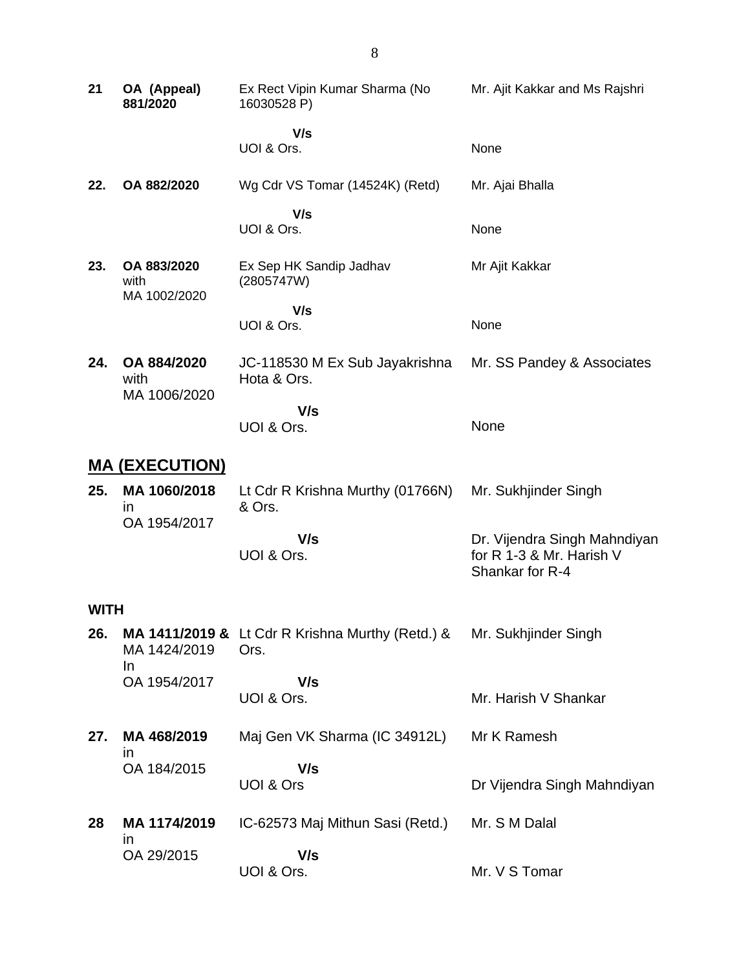| 21                    | OA (Appeal)<br>881/2020             | Ex Rect Vipin Kumar Sharma (No<br>16030528 P)            | Mr. Ajit Kakkar and Ms Rajshri                                              |
|-----------------------|-------------------------------------|----------------------------------------------------------|-----------------------------------------------------------------------------|
|                       |                                     | V/s<br>UOI & Ors.                                        | None                                                                        |
| 22.                   | OA 882/2020                         | Wg Cdr VS Tomar (14524K) (Retd)                          | Mr. Ajai Bhalla                                                             |
|                       |                                     | V/s<br>UOI & Ors.                                        | None                                                                        |
| 23.                   | OA 883/2020<br>with<br>MA 1002/2020 | Ex Sep HK Sandip Jadhav<br>(2805747W)                    | Mr Ajit Kakkar                                                              |
|                       |                                     | V/s<br>UOI & Ors.                                        | None                                                                        |
| 24.                   | OA 884/2020<br>with<br>MA 1006/2020 | JC-118530 M Ex Sub Jayakrishna<br>Hota & Ors.            | Mr. SS Pandey & Associates                                                  |
|                       |                                     | V/s<br>UOI & Ors.                                        | None                                                                        |
| <u>MA (EXECUTION)</u> |                                     |                                                          |                                                                             |
| 25.                   | MA 1060/2018<br>$\mathsf{I}$        | Lt Cdr R Krishna Murthy (01766N)<br>& Ors.               | Mr. Sukhjinder Singh                                                        |
|                       | OA 1954/2017                        | V/s<br>UOI & Ors.                                        | Dr. Vijendra Singh Mahndiyan<br>for R 1-3 & Mr. Harish V<br>Shankar for R-4 |
| <b>WITH</b>           |                                     |                                                          |                                                                             |
| 26.                   | MA 1424/2019                        | MA 1411/2019 & Lt Cdr R Krishna Murthy (Retd.) &<br>Ors. | Mr. Sukhjinder Singh                                                        |
|                       | In<br>OA 1954/2017                  | V/s<br>UOI & Ors.                                        | Mr. Harish V Shankar                                                        |
| 27.                   | MA 468/2019                         | Maj Gen VK Sharma (IC 34912L)                            | Mr K Ramesh                                                                 |
|                       | ın<br>OA 184/2015                   | V/s<br>UOI & Ors                                         | Dr Vijendra Singh Mahndiyan                                                 |
| 28                    | MA 1174/2019<br>in                  | IC-62573 Maj Mithun Sasi (Retd.)                         | Mr. S M Dalal                                                               |
|                       | OA 29/2015                          | V/s<br>UOI & Ors.                                        | Mr. V S Tomar                                                               |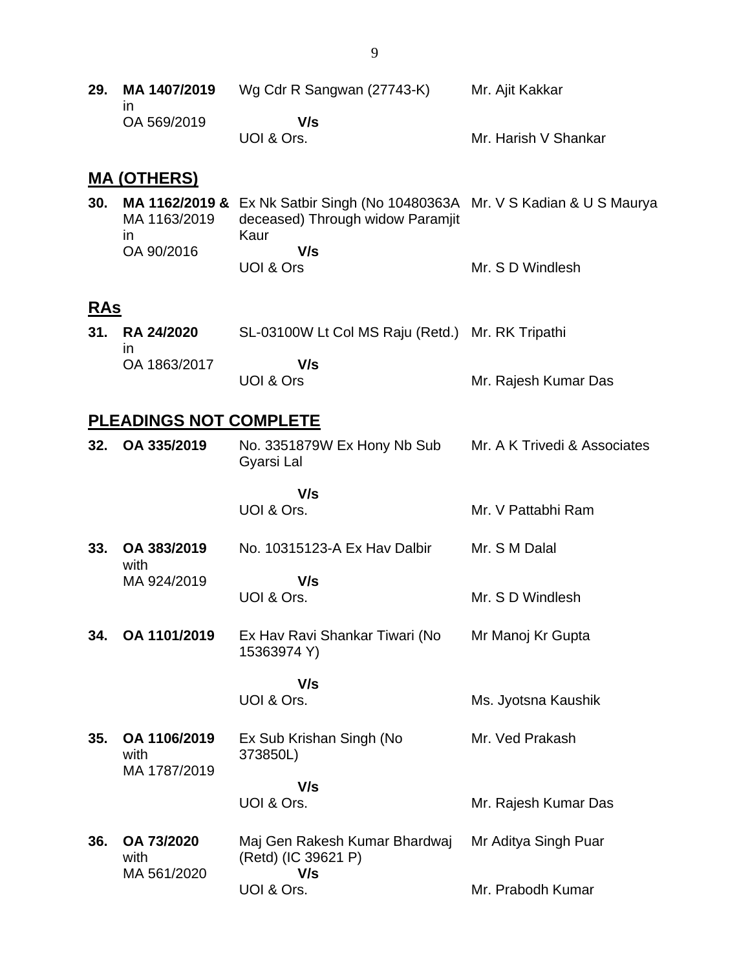**29. MA 1407/2019** in OA 569/2019 Wg Cdr R Sangwan (27743-K)  **V/s** UOI & Ors. Mr. Ajit Kakkar Mr. Harish V Shankar

#### **MA (OTHERS)**

| 30. |              | <b>MA 1162/2019 &amp;</b> Ex Nk Satbir Singh (No 10480363A Mr. V S Kadian & U S Maurya |                  |
|-----|--------------|----------------------------------------------------------------------------------------|------------------|
|     | MA 1163/2019 | deceased) Through widow Paramjit                                                       |                  |
|     | $\mathsf{I}$ | Kaur                                                                                   |                  |
|     | OA 90/2016   | V/s                                                                                    |                  |
|     |              | UOI & Ors                                                                              | Mr. S D Windlesh |

### **RAs**

| 31. RA 24/2020 | SL-03100W Lt Col MS Raju (Retd.) Mr. RK Tripathi |                      |
|----------------|--------------------------------------------------|----------------------|
| OA 1863/2017   | V/s                                              |                      |
|                | UOI & Ors                                        | Mr. Rajesh Kumar Das |

#### **PLEADINGS NOT COMPLETE**

| 32. OA 335/2019 | No. 3351879W Ex Hony Nb Sub<br>Gyarsi Lal | Mr. A K Trivedi & Associates |
|-----------------|-------------------------------------------|------------------------------|
|                 |                                           |                              |

 **V/s** UOI & Ors. Mr. V Pattabhi Ram

**33. OA 383/2019** with MA 924/2019 No. 10315123-A Ex Hav Dalbir  **V/s** UOI & Ors. Mr. S M Dalal Mr. S D Windlesh

**34. OA 1101/2019** Ex Hav Ravi Shankar Tiwari (No 15363974 Y) Mr Manoj Kr Gupta

> **V/s** UOI & Ors.

**35. OA 1106/2019** with MA 1787/2019 Ex Sub Krishan Singh (No 373850L)  **V/s** Mr. Ved Prakash

Ms. Jyotsna Kaushik

Mr. Rajesh Kumar Das

UOI & Ors.

**36. OA 73/2020** with MA 561/2020 Maj Gen Rakesh Kumar Bhardwaj (Retd) (IC 39621 P)  **V/s** UOI & Ors. Mr Aditya Singh Puar Mr. Prabodh Kumar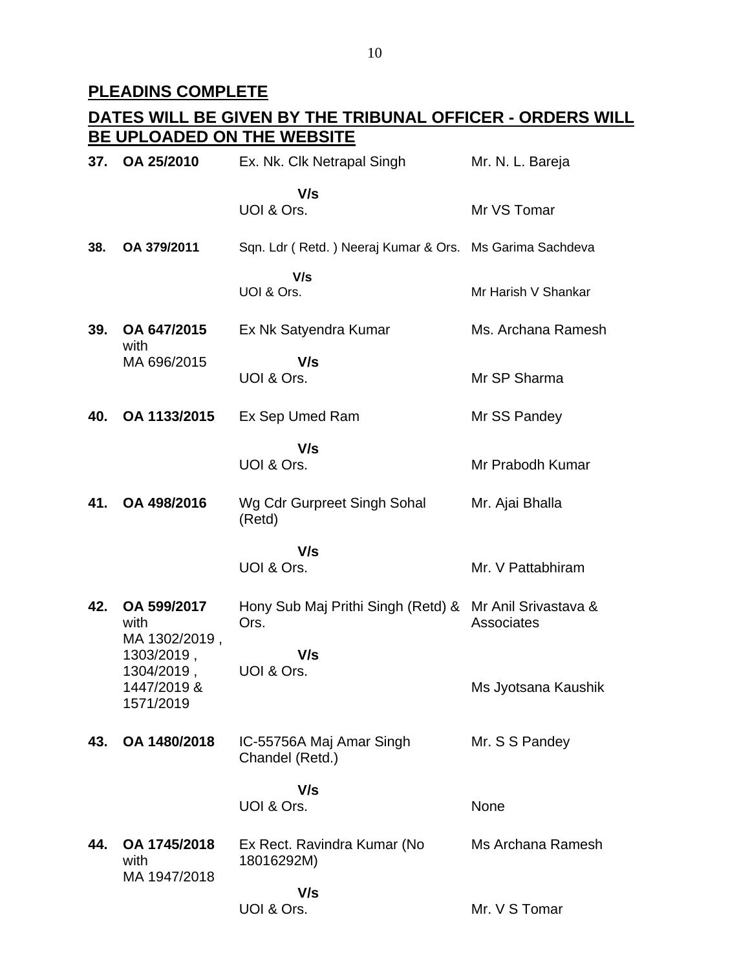# **PLEADINS COMPLETE**

| 37. | OA 25/2010                                           | Ex. Nk. Clk Netrapal Singh                                      | Mr. N. L. Bareja    |
|-----|------------------------------------------------------|-----------------------------------------------------------------|---------------------|
|     |                                                      | V/s<br>UOI & Ors.                                               | Mr VS Tomar         |
| 38. | OA 379/2011                                          | Sqn. Ldr (Retd.) Neeraj Kumar & Ors. Ms Garima Sachdeva         |                     |
|     |                                                      | V/s<br>UOI & Ors.                                               | Mr Harish V Shankar |
| 39. | OA 647/2015<br>with                                  | Ex Nk Satyendra Kumar                                           | Ms. Archana Ramesh  |
|     | MA 696/2015                                          | V/s<br>UOI & Ors.                                               | Mr SP Sharma        |
| 40. | OA 1133/2015                                         | Ex Sep Umed Ram                                                 | Mr SS Pandey        |
|     |                                                      | V/s<br>UOI & Ors.                                               | Mr Prabodh Kumar    |
| 41. | OA 498/2016                                          | Wg Cdr Gurpreet Singh Sohal<br>(Retd)                           | Mr. Ajai Bhalla     |
|     |                                                      | V/s<br>UOI & Ors.                                               | Mr. V Pattabhiram   |
| 42. | OA 599/2017<br>with<br>MA 1302/2019,                 | Hony Sub Maj Prithi Singh (Retd) & Mr Anil Srivastava &<br>Ors. | Associates          |
|     | 1303/2019,<br>1304/2019,<br>1447/2019 &<br>1571/2019 | V/s<br>UOI & Ors.                                               | Ms Jyotsana Kaushik |
| 43. | OA 1480/2018                                         | IC-55756A Maj Amar Singh<br>Chandel (Retd.)                     | Mr. S S Pandey      |
|     |                                                      | V/s<br>UOI & Ors.                                               | None                |
| 44. | OA 1745/2018<br>with<br>MA 1947/2018                 | Ex Rect. Ravindra Kumar (No<br>18016292M)                       | Ms Archana Ramesh   |
|     |                                                      | V/s<br>UOI & Ors.                                               | Mr. V S Tomar       |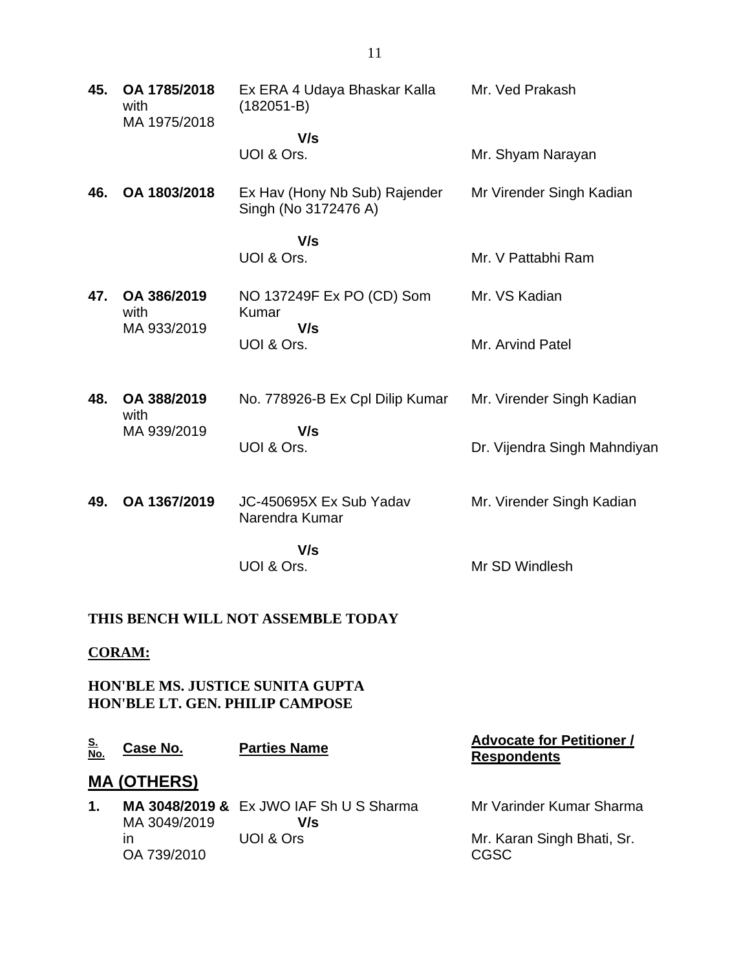| 45. | OA 1785/2018<br>with<br>MA 1975/2018 | Ex ERA 4 Udaya Bhaskar Kalla<br>$(182051 - B)$        | Mr. Ved Prakash              |
|-----|--------------------------------------|-------------------------------------------------------|------------------------------|
|     |                                      | V/s<br>UOI & Ors.                                     | Mr. Shyam Narayan            |
| 46. | OA 1803/2018                         | Ex Hav (Hony Nb Sub) Rajender<br>Singh (No 3172476 A) | Mr Virender Singh Kadian     |
|     |                                      | V/s<br>UOI & Ors.                                     | Mr. V Pattabhi Ram           |
| 47. | OA 386/2019<br>with                  | NO 137249F Ex PO (CD) Som<br>Kumar                    | Mr. VS Kadian                |
|     | MA 933/2019                          | V/s<br>UOI & Ors.                                     | Mr. Arvind Patel             |
| 48. | OA 388/2019<br>with                  | No. 778926-B Ex Cpl Dilip Kumar                       | Mr. Virender Singh Kadian    |
|     | MA 939/2019                          | V/s<br>UOI & Ors.                                     | Dr. Vijendra Singh Mahndiyan |
| 49. | OA 1367/2019                         | JC-450695X Ex Sub Yadav<br>Narendra Kumar             | Mr. Virender Singh Kadian    |
|     |                                      | V/s<br>UOI & Ors.                                     | Mr SD Windlesh               |

### **THIS BENCH WILL NOT ASSEMBLE TODAY**

## **CORAM:**

**HON'BLE MS. JUSTICE SUNITA GUPTA HON'BLE LT. GEN. PHILIP CAMPOSE**

| <u>S.</u><br>No. | Case No.           | <b>Parties Name</b>                            | <b>Advocate for Petitioner /</b><br><b>Respondents</b> |
|------------------|--------------------|------------------------------------------------|--------------------------------------------------------|
|                  | <b>MA (OTHERS)</b> |                                                |                                                        |
| 1.               | MA 3049/2019       | MA 3048/2019 & Ex JWO IAF Sh U S Sharma<br>V/s | Mr Varinder Kumar Sharma                               |
|                  | ın<br>OA 739/2010  | UOI & Ors                                      | Mr. Karan Singh Bhati, Sr.<br><b>CGSC</b>              |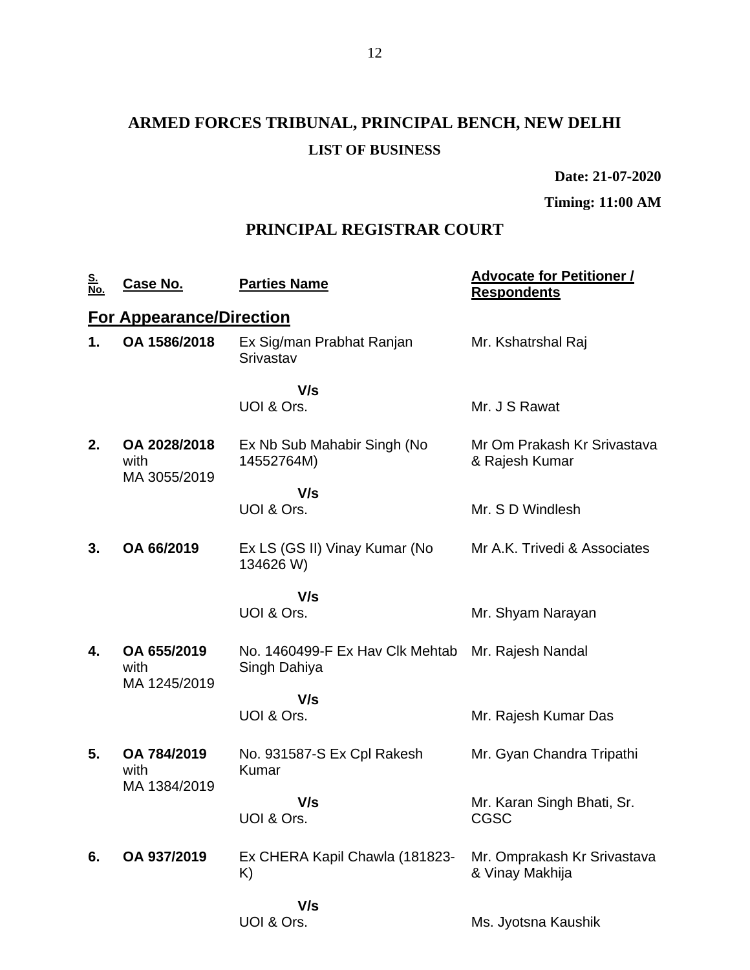# **ARMED FORCES TRIBUNAL, PRINCIPAL BENCH, NEW DELHI LIST OF BUSINESS**

**Date: 21-07-2020**

**Timing: 11:00 AM**

## **PRINCIPAL REGISTRAR COURT**

| <u>S.</u><br>No. | <u>Case No.</u>                      | <b>Parties Name</b>                             | <b>Advocate for Petitioner /</b><br><b>Respondents</b> |
|------------------|--------------------------------------|-------------------------------------------------|--------------------------------------------------------|
|                  | <b>For Appearance/Direction</b>      |                                                 |                                                        |
| 1.               | OA 1586/2018                         | Ex Sig/man Prabhat Ranjan<br>Srivastav          | Mr. Kshatrshal Raj                                     |
|                  |                                      | V/s<br>UOI & Ors.                               | Mr. J S Rawat                                          |
| 2.               | OA 2028/2018<br>with<br>MA 3055/2019 | Ex Nb Sub Mahabir Singh (No<br>14552764M)       | Mr Om Prakash Kr Srivastava<br>& Rajesh Kumar          |
|                  |                                      | V/s<br>UOI & Ors.                               | Mr. S D Windlesh                                       |
| 3.               | OA 66/2019                           | Ex LS (GS II) Vinay Kumar (No<br>134626 W)      | Mr A.K. Trivedi & Associates                           |
|                  |                                      | V/s                                             |                                                        |
|                  |                                      | UOI & Ors.                                      | Mr. Shyam Narayan                                      |
| 4.               | OA 655/2019<br>with<br>MA 1245/2019  | No. 1460499-F Ex Hav Clk Mehtab<br>Singh Dahiya | Mr. Rajesh Nandal                                      |
|                  |                                      | V/s                                             |                                                        |
|                  |                                      | UOI & Ors.                                      | Mr. Rajesh Kumar Das                                   |
| 5.               | OA 784/2019<br>with<br>MA 1384/2019  | No. 931587-S Ex Cpl Rakesh<br>Kumar             | Mr. Gyan Chandra Tripathi                              |
|                  |                                      | V/s<br>UOI & Ors.                               | Mr. Karan Singh Bhati, Sr.<br><b>CGSC</b>              |
| 6.               | OA 937/2019                          | Ex CHERA Kapil Chawla (181823-<br>K)            | Mr. Omprakash Kr Srivastava<br>& Vinay Makhija         |
|                  |                                      | V/s                                             |                                                        |
|                  |                                      | UOI & Ors.                                      | Ms. Jyotsna Kaushik                                    |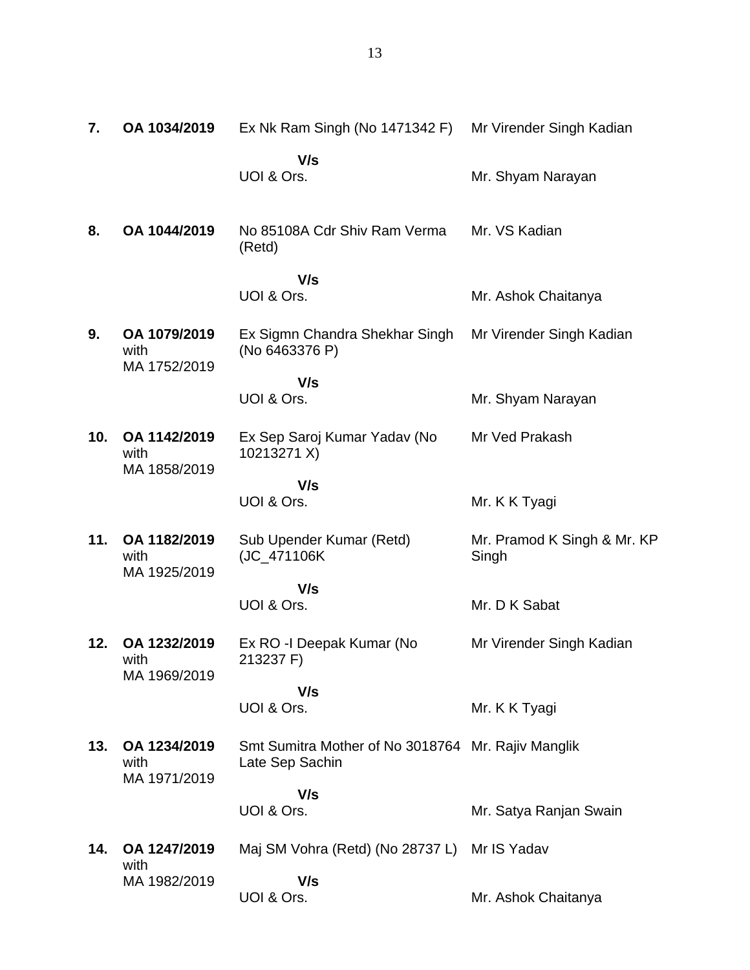**7. OA 1034/2019** Ex Nk Ram Singh (No 1471342 F) Mr Virender Singh Kadian  **V/s** UOI & Ors. Mr. Shyam Narayan **8. OA 1044/2019** No 85108A Cdr Shiv Ram Verma (Retd)  **V/s** UOI & Ors. Mr. VS Kadian Mr. Ashok Chaitanya **9. OA 1079/2019** with MA 1752/2019 Ex Sigmn Chandra Shekhar Singh (No 6463376 P)  **V/s** UOI & Ors. Mr Virender Singh Kadian Mr. Shyam Narayan **10. OA 1142/2019** with MA 1858/2019 Ex Sep Saroj Kumar Yadav (No 10213271 X)  **V/s** UOI & Ors. Mr Ved Prakash Mr. K K Tyagi **11. OA 1182/2019** with MA 1925/2019 Sub Upender Kumar (Retd) (JC\_471106K  **V/s** UOI & Ors. Mr. Pramod K Singh & Mr. KP Singh Mr. D K Sabat **12. OA 1232/2019** with MA 1969/2019 Ex RO -I Deepak Kumar (No 213237 F)  **V/s** UOI & Ors. Mr Virender Singh Kadian Mr. K K Tyagi **13. OA 1234/2019** with MA 1971/2019 Smt Sumitra Mother of No 3018764 Mr. Rajiv Manglik Late Sep Sachin  **V/s** UOI & Ors. Mr. Satya Ranjan Swain **14. OA 1247/2019** with MA 1982/2019 Maj SM Vohra (Retd) (No 28737 L) Mr IS Yadav  **V/s** UOI & Ors. Mr. Ashok Chaitanya

13